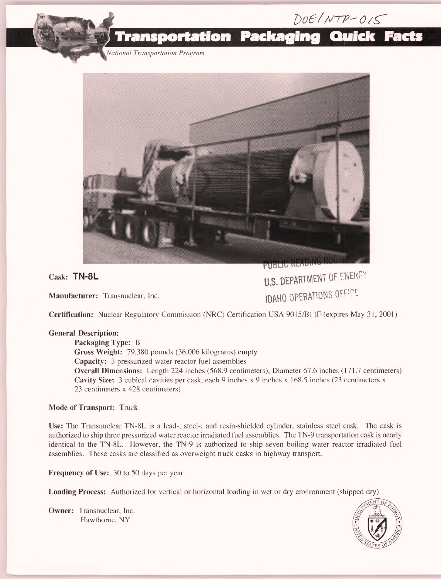

ational Transportation Program



Cask: TN-8L

Manufacturer: Transnuclear. Inc.

U.S. DEPARTMENT OF ENERGY **IDAHO OPERATIONS OFFICE** 

Certification: Nuclear Regulatory Commission (NRC) Certification USA 9015/B( )F (expires May 31, 2001)

## General Description:

Packaging Type: B Gross Weight: 79,380 pounds (36,006 kilograms) empty Capacity: 3 pressurized water reactor fuel assemblies Overall Dimensions: Length 224 inches (568.9 centimeters), Diameter 67.6 inches (171.7 centimeters) Cavity Size: 3 cubical cavities per cask, each 9 inches x 9 inches x 168.5 inches (23 centimeters x 23 centimeters x 428 centimeters)

## Mode of Transport: Truck

Use: The Transnuclear TN-8L is a lead-, steel-, and resin-shielded cylinder, stainless steel cask. The cask is authorized to ship three pressurized water reactor irradiated fuel assemblies. The TN-9 transportation cask is nearly identical to the TN-8L. However, the TN-9 is authorized to ship seven boiling water reactor irradiated fuel assemblies. These casks are classified as overweight truck casks in highway transport.

Frequency of Use: 30 to 50 days per year

Loading Process: Authorized for vertical or horizontal loading in wet or dry environment (shipped dry)

Owner: Transnuclear, Inc. Hawthorne, NY